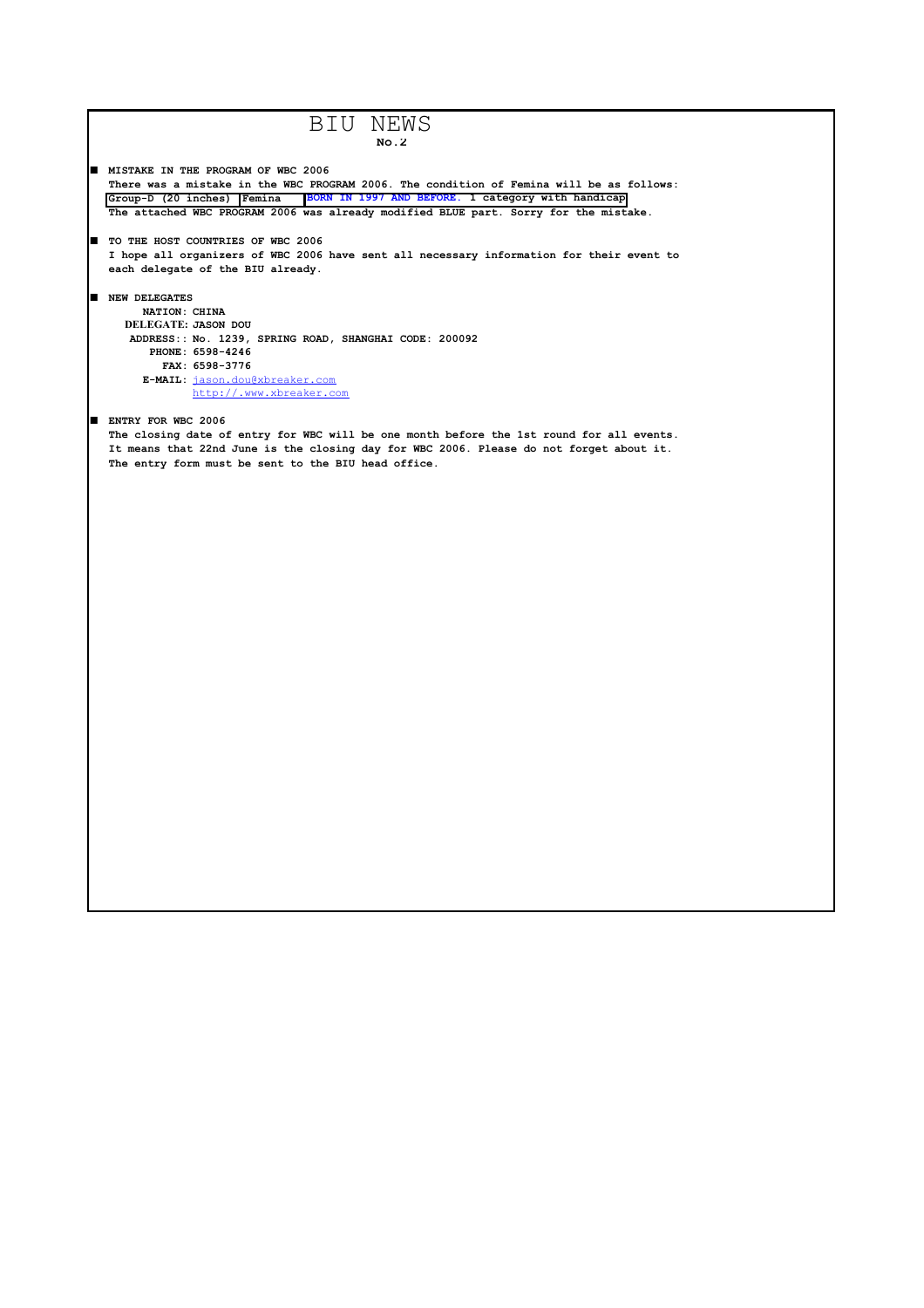```
BIU NEWS
                                            No.2
\blacksquare MISTAKE IN THE PROGRAM OF WBC 2006
   There was a mistake in the WBC PROGRAM 2006. The condition of Femina will be as follows: 
   Group-D (20 inches) Femina BORN IN 1997 AND BEFORE. 1 category with handicap
   The attached WBC PROGRAM 2006 was already modified BLUE part. Sorry for the mistake. 
■ TO THE HOST COUNTRIES OF WBC 2006
  I hope all organizers of WBC 2006 have sent all necessary information for their event to
  each delegate of the BIU already.
■ NEW DELEGATES
       NATION: CHINA
     DELEGATE: JASON DOU
     ADDRESS:: No. 1239, SPRING ROAD, SHANGHAI CODE: 200092
        PHONE: 6598-4246
          FAX: 6598-3776
       E-MAIL: jason.dou@xbreaker.com
               http://.www.xbreaker.com
ENTRY FOR WBC 2006
  The closing date of entry for WBC will be one month before the 1st round for all events.
  It means that 22nd June is the closing day for WBC 2006. Please do not forget about it.
  The entry form must be sent to the BIU head office.
```